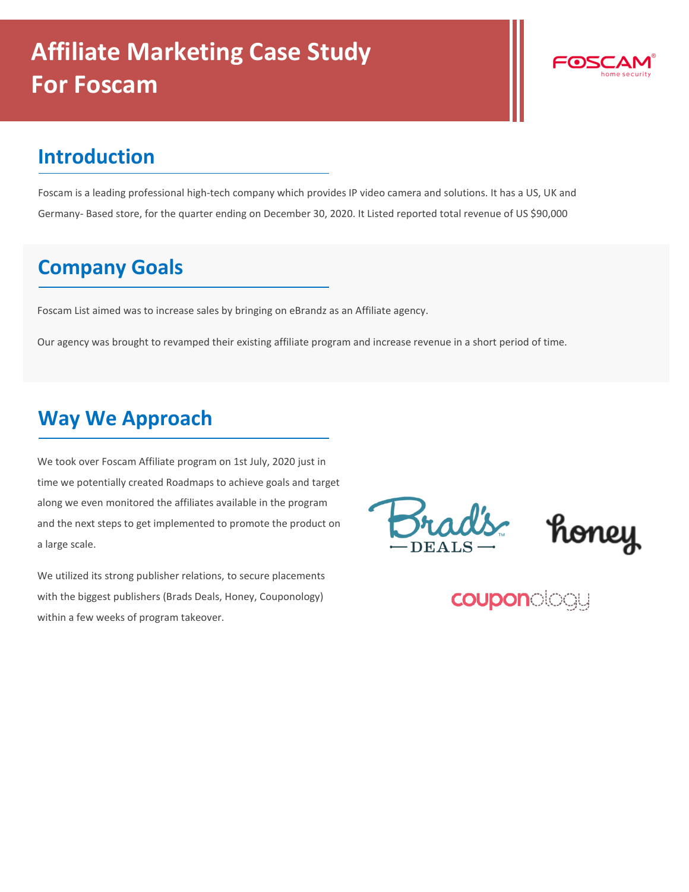

## **Introduction**

Foscam is a leading professional high-tech company which provides IP video camera and solutions. It has a US, UK and Germany- Based store, for the quarter ending on December 30, 2020. It Listed reported total revenue of US \$90,000

## **Company Goals**

Foscam List aimed was to increase sales by bringing on eBrandz as an Affiliate agency.

Our agency was brought to revamped their existing affiliate program and increase revenue in a short period of time.

## **Way We Approach**

We took over Foscam Affiliate program on 1st July, 2020 just in time we potentially created Roadmaps to achieve goals and target along we even monitored the affiliates available in the program and the next steps to get implemented to promote the product on a large scale.

We utilized its strong publisher relations, to secure placements with the biggest publishers (Brads Deals, Honey, Couponology) within a few weeks of program takeover.



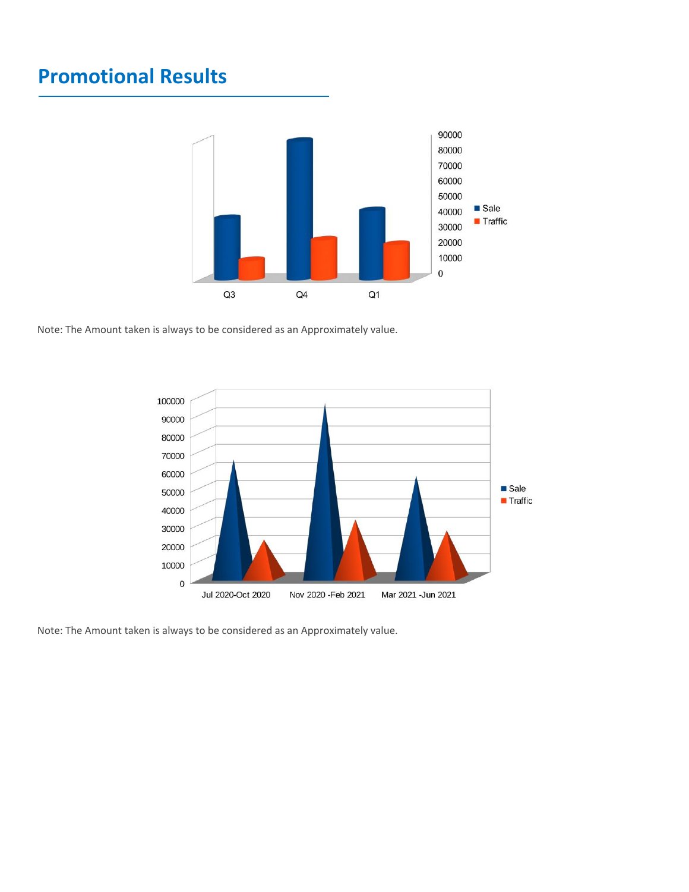## **Promotional Results**



Note: The Amount taken is always to be considered as an Approximately value.



Note: The Amount taken is always to be considered as an Approximately value.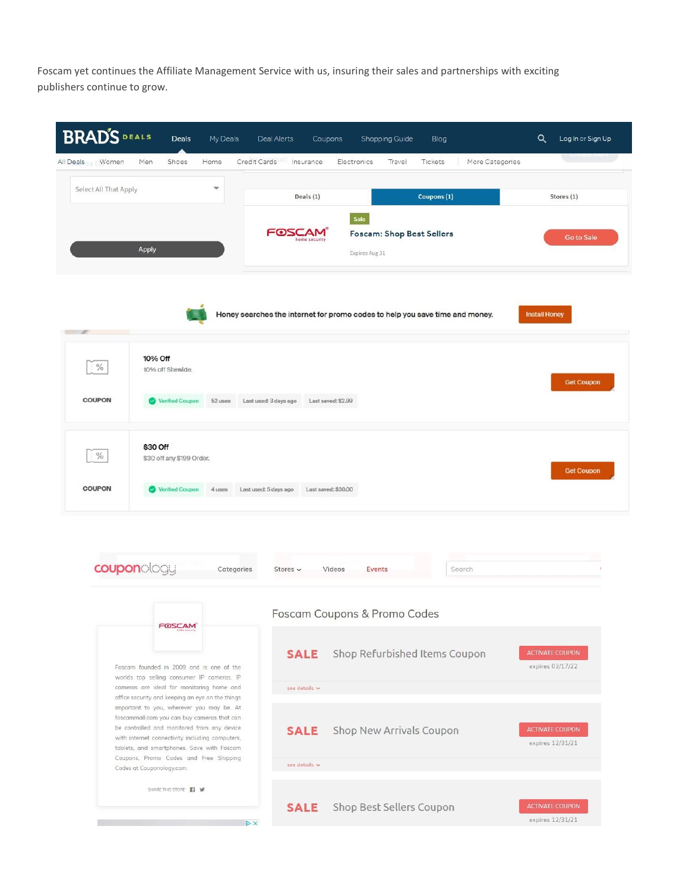Foscam yet continues the Affiliate Management Service with us, insuring their sales and partnerships with exciting publishers continue to grow.



**SALE** Shop Best Sellers Coupon

 $\triangleright$  X

expires 12/31/21